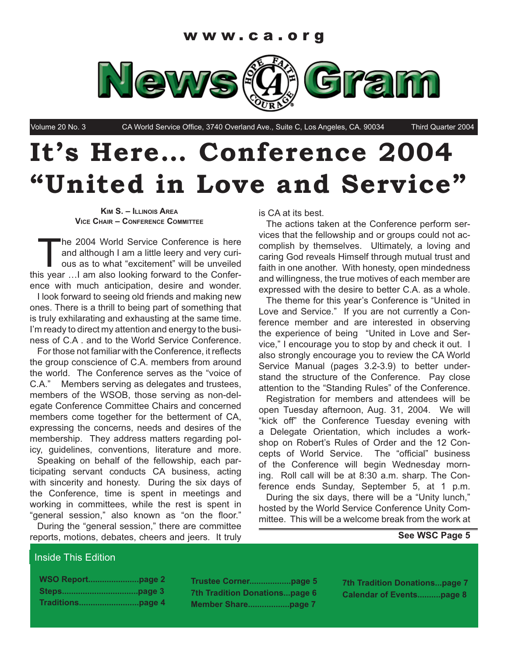

Volume 20 No. 3 CA World Service Office, 3740 Overland Ave., Suite C, Los Angeles, CA. 90034 Third Quarter 2004

# **It's Here… Conference 2004 "United in Love and Service"**

**KIM S. – ILLINOIS AREA VICE CHAIR – CONFERENCE COMMITTEE**

The 2004 World Service Conference is here and although I am a little leery and very curious as to what "excitement" will be unveiled this year …I am also looking forward to the Conference with much anticipation, desire and wonder.

I look forward to seeing old friends and making new ones. There is a thrill to being part of something that is truly exhilarating and exhausting at the same time. I'm ready to direct my attention and energy to the business of C.A . and to the World Service Conference.

For those not familiar with the Conference, it reflects the group conscience of C.A. members from around the world. The Conference serves as the "voice of C.A." Members serving as delegates and trustees, members of the WSOB, those serving as non-delegate Conference Committee Chairs and concerned members come together for the betterment of CA, expressing the concerns, needs and desires of the membership. They address matters regarding policy, guidelines, conventions, literature and more.

Speaking on behalf of the fellowship, each participating servant conducts CA business, acting with sincerity and honesty. During the six days of the Conference, time is spent in meetings and working in committees, while the rest is spent in "general session," also known as "on the floor."

During the "general session," there are committee reports, motions, debates, cheers and jeers. It truly

is CA at its best.

The actions taken at the Conference perform services that the fellowship and or groups could not accomplish by themselves. Ultimately, a loving and caring God reveals Himself through mutual trust and faith in one another. With honesty, open mindedness and willingness, the true motives of each member are expressed with the desire to better C.A. as a whole.

The theme for this year's Conference is "United in Love and Service." If you are not currently a Conference member and are interested in observing the experience of being "United in Love and Service," I encourage you to stop by and check it out. I also strongly encourage you to review the CA World Service Manual (pages 3.2-3.9) to better understand the structure of the Conference. Pay close attention to the "Standing Rules" of the Conference.

Registration for members and attendees will be open Tuesday afternoon, Aug. 31, 2004. We will "kick off" the Conference Tuesday evening with a Delegate Orientation, which includes a workshop on Robert's Rules of Order and the 12 Concepts of World Service. The "official" business of the Conference will begin Wednesday morning. Roll call will be at 8:30 a.m. sharp. The Conference ends Sunday, September 5, at 1 p.m.

During the six days, there will be a "Unity lunch," hosted by the World Service Conference Unity Committee. This will be a welcome break from the work at

#### **See WSC Page 5**

#### Inside This Edition

| <b>WSO Reportpage 2</b> |  |
|-------------------------|--|
|                         |  |
|                         |  |

**Trustee Corner..................page 5 7th Tradition Donations...page 6 Member Share..................page 7**

**7th Tradition Donations...page 7 Calendar of Events..........page 8**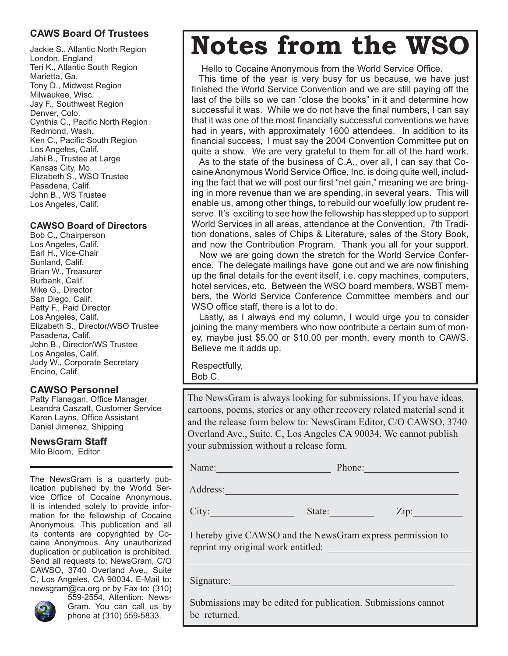## **CAWS Board Of Trustees**

Jackie S., Atlantic North Region London, England Teri K., Atlantic South Region Marietta, Ga. Tony D., Midwest Region Milwaukee, Wisc. Jay F., Southwest Region Denver, Colo. Cynthia C., Pacific North Region Redmond, Wash. Ken C., Pacific South Region Los Angeles, Calif. Jahi B., Trustee at Large Kansas City, Mo. Elizabeth S., WSO Trustee Pasadena, Calif. John B., WS Trustee Los Angeles, Calif.

#### **CAWSO Board of Directors**

Bob C., Chairperson Los Angeles, Calif. Earl H., Vice-Chair Sunland, Calif. Brian W., Treasurer Burbank, Calif. Mike G., Director San Diego, Calif. Patty F., Paid Director Los Angeles, Calif. Elizabeth S., Director/WSO Trustee Pasadena, Calif. John B., Director/WS Trustee Los Angeles, Calif. Judy W., Corporate Secretary Encino, Calif.

## **CAWSO Personnel**

Patty Flanagan, Office Manager Leandra Caszatt, Customer Service Karen Layns, Office Assistant Daniel Jimenez, Shipping

#### **NewsGram Staff**

Milo Bloom, Editor

The NewsGram is a quarterly publication published by the World Service Office of Cocaine Anonymous. It is intended solely to provide information for the fellowship of Cocaine Anonymous. This publication and all its contents are copyrighted by Cocaine Anonymous. Any unauthorized duplication or publication is prohibited. Send all requests to: NewsGram, C/O CAWSO, 3740 Overland Ave., Suite C, Los Angeles, CA 90034. E-Mail to: newsgram@ca.org or by Fax to: (310)



559-2554, Attention: News-Gram. You can call us by phone at (310) 559-5833.

# **Notes from the WSO**

Hello to Cocaine Anonymous from the World Service Office.

This time of the year is very busy for us because, we have just finished the World Service Convention and we are still paying off the last of the bills so we can "close the books" in it and determine how successful it was. While we do not have the final numbers, I can say that it was one of the most financially successful conventions we have had in years, with approximately 1600 attendees. In addition to its financial success, I must say the 2004 Convention Committee put on quite a show. We are very grateful to them for all of the hard work.

As to the state of the business of C.A., over all, I can say that Cocaine Anonymous World Service Office, Inc. is doing quite well, including the fact that we will post our first "net gain," meaning we are bringing in more revenue than we are spending, in several years. This will enable us, among other things, to rebuild our woefully low prudent reserve. It's exciting to see how the fellowship has stepped up to support World Services in all areas, attendance at the Convention, 7th Tradition donations, sales of Chips & Literature, sales of the Story Book, and now the Contribution Program. Thank you all for your support.

Now we are going down the stretch for the World Service Conference. The delegate mailings have gone out and we are now finishing up the final details for the event itself, i.e. copy machines, computers, hotel services, etc. Between the WSO board members, WSBT members, the World Service Conference Committee members and our WSO office staff, there is a lot to do.

Lastly, as I always end my column, I would urge you to consider joining the many members who now contribute a certain sum of money, maybe just \$5.00 or \$10.00 per month, every month to CAWS. Believe me it adds up.

Respectfully, Bob C.

The NewsGram is always looking for submissions. If you have ideas, cartoons, poems, stories or any other recovery related material send it and the release form below to: NewsGram Editor, C/O CAWSO, 3740 Overland Ave., Suite. C, Los Angeles CA 90034. We cannot publish your submission without a release form.

Name: The Phone:

Address:

City: State: 2ip:

 I hereby give CAWSO and the NewsGram express permission to reprint my original work entitled:

 $\_$  , and the set of the set of the set of the set of the set of the set of the set of the set of the set of the set of the set of the set of the set of the set of the set of the set of the set of the set of the set of th

Signature:

 Submissions may be edited for publication. Submissions cannot be returned.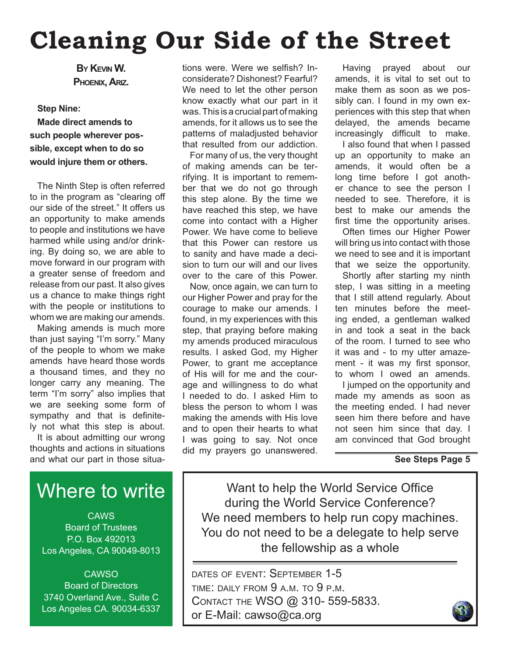# **Cleaning Our Side of the Street**

**BY KEVIN W. PHOENIX, ARIZ.**

#### **Step Nine:**

**Made direct amends to such people wherever possible, except when to do so would injure them or others.**

The Ninth Step is often referred to in the program as "clearing off our side of the street." It offers us an opportunity to make amends to people and institutions we have harmed while using and/or drinking. By doing so, we are able to move forward in our program with a greater sense of freedom and release from our past. It also gives us a chance to make things right with the people or institutions to whom we are making our amends.

Making amends is much more than just saying "I'm sorry." Many of the people to whom we make amends have heard those words a thousand times, and they no longer carry any meaning. The term "I'm sorry" also implies that we are seeking some form of sympathy and that is definitely not what this step is about.

It is about admitting our wrong thoughts and actions in situations and what our part in those situa-

# Where to write

**CAWS** Board of Trustees P.O. Box 492013 Los Angeles, CA 90049-8013

**CAWSO** Board of Directors 3740 Overland Ave., Suite C Los Angeles CA. 90034-6337 tions were. Were we selfish? Inconsiderate? Dishonest? Fearful? We need to let the other person know exactly what our part in it was. This is a crucial part of making amends, for it allows us to see the patterns of maladjusted behavior that resulted from our addiction.

For many of us, the very thought of making amends can be terrifying. It is important to remember that we do not go through this step alone. By the time we have reached this step, we have come into contact with a Higher Power. We have come to believe that this Power can restore us to sanity and have made a decision to turn our will and our lives over to the care of this Power.

Now, once again, we can turn to our Higher Power and pray for the courage to make our amends. I found, in my experiences with this step, that praying before making my amends produced miraculous results. I asked God, my Higher Power, to grant me acceptance of His will for me and the courage and willingness to do what I needed to do. I asked Him to bless the person to whom I was making the amends with His love and to open their hearts to what I was going to say. Not once did my prayers go unanswered.

Having prayed about our amends, it is vital to set out to make them as soon as we possibly can. I found in my own experiences with this step that when delayed, the amends became increasingly difficult to make.

I also found that when I passed up an opportunity to make an amends, it would often be a long time before I got another chance to see the person I needed to see. Therefore, it is best to make our amends the first time the opportunity arises.

Often times our Higher Power will bring us into contact with those we need to see and it is important that we seize the opportunity.

Shortly after starting my ninth step, I was sitting in a meeting that I still attend regularly. About ten minutes before the meeting ended, a gentleman walked in and took a seat in the back of the room. I turned to see who it was and - to my utter amazement - it was my first sponsor, to whom I owed an amends.

I jumped on the opportunity and made my amends as soon as the meeting ended. I had never seen him there before and have not seen him since that day. I am convinced that God brought

#### **See Steps Page 5**

Want to help the World Service Office during the World Service Conference? We need members to help run copy machines. You do not need to be a delegate to help serve the fellowship as a whole

DATES OF EVENT: SEPTEMBER 1-5 TIME: DAILY FROM 9 A.M. TO 9 P.M. CONTACT THE WSO @ 310- 559-5833. or E-Mail: cawso@ca.org

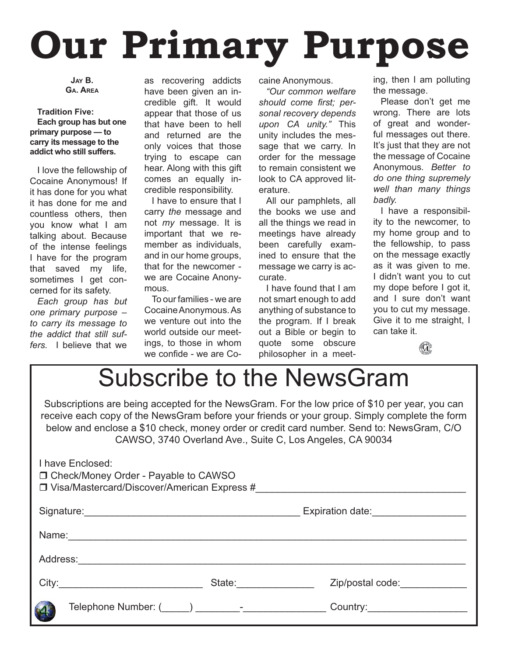# **Our Primary Purpose**

**JAY B. GA. AREA**

**Tradition Five: Each group has but one primary purpose — to carry its message to the addict who still suffers.**

I love the fellowship of Cocaine Anonymous! If it has done for you what it has done for me and countless others, then you know what I am talking about. Because of the intense feelings I have for the program that saved my life, sometimes I get concerned for its safety.

*Each group has but one primary purpose – to carry its message to the addict that still suffers.* I believe that we

as recovering addicts have been given an incredible gift. It would appear that those of us that have been to hell and returned are the only voices that those trying to escape can hear. Along with this gift comes an equally incredible responsibility.

I have to ensure that I carry *the* message and not *my* message. It is important that we remember as individuals, and in our home groups, that for the newcomer we are Cocaine Anonymous.

To our families - we are Cocaine Anonymous. As we venture out into the world outside our meetings, to those in whom we confide - we are Cocaine Anonymous.

*"Our common welfare*  should come first; per*sonal recovery depends upon CA unity."* This unity includes the message that we carry. In order for the message to remain consistent we look to CA approved literature.

All our pamphlets, all the books we use and all the things we read in meetings have already been carefully examined to ensure that the message we carry is accurate.

I have found that I am not smart enough to add anything of substance to the program. If I break out a Bible or begin to quote some obscure philosopher in a meet-

ing, then I am polluting the message.

Please don't get me wrong. There are lots of great and wonderful messages out there. It's just that they are not the message of Cocaine Anonymous*. Better to do one thing supremely well than many things badly.*

I have a responsibility to the newcomer, to my home group and to the fellowship, to pass on the message exactly as it was given to me. I didn't want you to cut my dope before I got it, and I sure don't want you to cut my message. Give it to me straight, I can take it.



# Subscribe to the NewsGram

Subscriptions are being accepted for the NewsGram. For the low price of \$10 per year, you can receive each copy of the NewsGram before your friends or your group. Simply complete the form below and enclose a \$10 check, money order or credit card number. Send to: NewsGram, C/O CAWSO, 3740 Overland Ave., Suite C, Los Angeles, CA 90034

| I have Enclosed:<br>□ Check/Money Order - Payable to CAWSO<br>$\square$ Visa/Mastercard/Discover/American Express #   |                                                                                                                                                                                                                                |                               |
|-----------------------------------------------------------------------------------------------------------------------|--------------------------------------------------------------------------------------------------------------------------------------------------------------------------------------------------------------------------------|-------------------------------|
| Signature:<br><u> 1989 - Andrea Stadt, fransk politiker (d. 1989)</u>                                                 |                                                                                                                                                                                                                                |                               |
|                                                                                                                       |                                                                                                                                                                                                                                |                               |
|                                                                                                                       |                                                                                                                                                                                                                                |                               |
| City:                                                                                                                 | State: and the state of the state of the state of the state of the state of the state of the state of the state of the state of the state of the state of the state of the state of the state of the state of the state of the | Zip/postal code:              |
| Telephone Number: ( ) and the set of the set of the set of the set of the set of the set of the set o<br>$\mathbf{A}$ |                                                                                                                                                                                                                                | Country:_____________________ |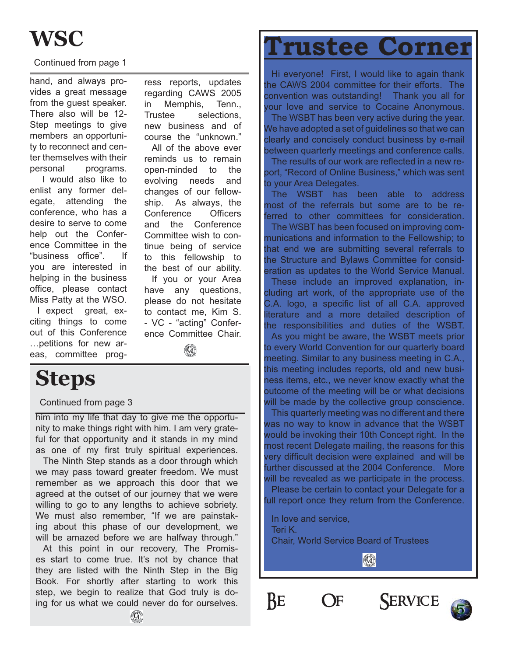#### Continued from page 1

hand, and always provides a great message from the guest speaker. There also will be 12- Step meetings to give members an opportunity to reconnect and center themselves with their personal programs.

 I would also like to enlist any former delegate, attending the conference, who has a desire to serve to come help out the Conference Committee in the "business office". If you are interested in helping in the business office, please contact Miss Patty at the WSO. I expect great, ex-

citing things to come out of this Conference …petitions for new areas, committee prog-

ress reports, updates regarding CAWS 2005 in Memphis, Tenn., Trustee selections, new business and of course the "unknown."

All of the above ever reminds us to remain open-minded to the evolving needs and changes of our fellowship. As always, the Conference Officers and the Conference Committee wish to continue being of service to this fellowship to the best of our ability. If you or your Area have any questions, please do not hesitate to contact me, Kim S. - VC - "acting" Conference Committee Chair.

# $(\mathbf{G})$

# **Steps**

#### Continued from page 3

him into my life that day to give me the opportunity to make things right with him. I am very grateful for that opportunity and it stands in my mind as one of my first truly spiritual experiences.

The Ninth Step stands as a door through which we may pass toward greater freedom. We must remember as we approach this door that we agreed at the outset of our journey that we were willing to go to any lengths to achieve sobriety. We must also remember, "If we are painstaking about this phase of our development, we will be amazed before we are halfway through."

At this point in our recovery, The Promises start to come true. It's not by chance that they are listed with the Ninth Step in the Big Book. For shortly after starting to work this step, we begin to realize that God truly is doing for us what we could never do for ourselves.

# **Trustee Corner**

Hi everyone! First, I would like to again thank the CAWS 2004 committee for their efforts. The convention was outstanding! Thank you all for your love and service to Cocaine Anonymous.

The WSBT has been very active during the year. We have adopted a set of guidelines so that we can clearly and concisely conduct business by e-mail between quarterly meetings and conference calls.

The results of our work are reflected in a new report, "Record of Online Business," which was sent to your Area Delegates.

The WSBT has been able to address most of the referrals but some are to be referred to other committees for consideration.

The WSBT has been focused on improving communications and information to the Fellowship; to that end we are submitting several referrals to the Structure and Bylaws Committee for consideration as updates to the World Service Manual.

These include an improved explanation, including art work, of the appropriate use of the C.A. logo, a specific list of all C.A. approved literature and a more detailed description of the responsibilities and duties of the WSBT.

As you might be aware, the WSBT meets prior to every World Convention for our quarterly board meeting. Similar to any business meeting in C.A., this meeting includes reports, old and new business items, etc., we never know exactly what the outcome of the meeting will be or what decisions will be made by the collective group conscience.

This quarterly meeting was no different and there was no way to know in advance that the WSBT would be invoking their 10th Concept right. In the most recent Delegate mailing, the reasons for this very difficult decision were explained and will be further discussed at the 2004 Conference. More will be revealed as we participate in the process.

Please be certain to contact your Delegate for a full report once they return from the Conference.

In love and service, Teri K.

Chair, World Service Board of Trustees

 $\circledR$ 



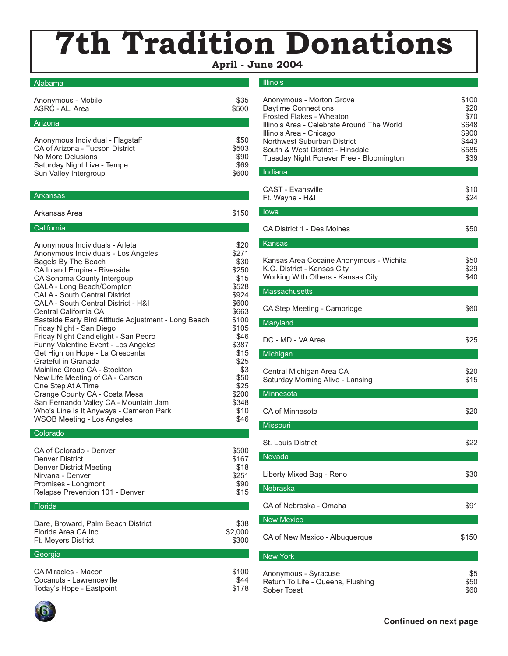# **7th Tradition Donations**

 **April - June 2004**

#### Alabama

| Anonymous - Mobile               | \$35  |
|----------------------------------|-------|
| ASRC - AL. Area                  | \$500 |
| Arizona                          |       |
| Anonymous Individual - Flagstaff | \$50  |
| CA of Arizona - Tucson District  | \$503 |
| No More Delusions                | \$90  |
| Saturday Night Live - Tempe      | \$69  |
| Sun Valley Intergroup            | \$600 |

#### Arkansas

| Arkansas Area | \$150 |
|---------------|-------|

#### **California**

| Anonymous Individuals - Arleta                       | \$20  |
|------------------------------------------------------|-------|
| Anonymous Individuals - Los Angeles                  | \$271 |
| Bagels By The Beach                                  | \$30  |
| CA Inland Empire - Riverside                         | \$250 |
| CA Sonoma County Intergoup                           | \$15  |
| CALA - Long Beach/Compton                            | \$528 |
| <b>CALA - South Central District</b>                 | \$924 |
| CALA - South Central District - H&I                  | \$600 |
| Central California CA                                | \$663 |
| Eastside Early Bird Attitude Adjustment - Long Beach | \$100 |
| Friday Night - San Diego                             | \$105 |
| Friday Night Candlelight - San Pedro                 | \$46  |
| <b>Funny Valentine Event - Los Angeles</b>           | \$387 |
| Get High on Hope - La Crescenta                      | \$15  |
| Grateful in Granada                                  | \$25  |
| Mainline Group CA - Stockton                         | \$3   |
| New Life Meeting of CA - Carson                      | \$50  |
| One Step At A Time                                   | \$25  |
| Orange County CA - Costa Mesa                        | \$200 |
| San Fernando Valley CA - Mountain Jam                | \$348 |
| Who's Line Is It Anyways - Cameron Park              | \$10  |
| WSOB Meeting - Los Angeles                           | \$46  |
|                                                      |       |

#### Colorado

| CA of Colorado - Denver<br>Denver District | \$500<br>\$167 |
|--------------------------------------------|----------------|
| Denver District Meeting                    | \$18           |
| Nirvana - Denver                           | \$251          |
| Promises - Longmont                        | \$90           |
| Relapse Prevention 101 - Denver            | \$15           |

#### **Florida**

| Dare, Broward, Palm Beach District | \$38    |
|------------------------------------|---------|
| Florida Area CA Inc.               | \$2,000 |
| Ft. Meyers District                | \$300   |
|                                    |         |

#### **Georgia**

| CA Miracles - Macon      | \$100 |
|--------------------------|-------|
| Cocanuts - Lawrenceville | \$44  |
| Today's Hope - Eastpoint | \$178 |

#### Illinois

| Anonymous - Morton Grove<br>Daytime Connections<br>Frosted Flakes - Wheaton<br>Illinois Area - Celebrate Around The World<br>Illinois Area - Chicago<br>Northwest Suburban District<br>South & West District - Hinsdale<br>Tuesday Night Forever Free - Bloomington | \$100<br>\$20<br>\$70<br>\$648<br>\$900<br>\$443<br>\$585<br>\$39 |
|---------------------------------------------------------------------------------------------------------------------------------------------------------------------------------------------------------------------------------------------------------------------|-------------------------------------------------------------------|
| Indiana                                                                                                                                                                                                                                                             |                                                                   |
| <b>CAST - Evansville</b><br>Ft. Wayne - H&I                                                                                                                                                                                                                         | \$10<br>\$24                                                      |
| lowa                                                                                                                                                                                                                                                                |                                                                   |
| CA District 1 - Des Moines                                                                                                                                                                                                                                          | \$50                                                              |
| <b>Kansas</b>                                                                                                                                                                                                                                                       |                                                                   |
| Kansas Area Cocaine Anonymous - Wichita<br>K.C. District - Kansas City<br>Working With Others - Kansas City                                                                                                                                                         | \$50<br>\$29<br>\$40                                              |
| <b>Massachusetts</b>                                                                                                                                                                                                                                                |                                                                   |
| CA Step Meeting - Cambridge                                                                                                                                                                                                                                         | \$60                                                              |
| Maryland                                                                                                                                                                                                                                                            |                                                                   |
| DC - MD - VA Area                                                                                                                                                                                                                                                   | \$25                                                              |
| Michigan                                                                                                                                                                                                                                                            |                                                                   |
| Central Michigan Area CA<br>Saturday Morning Alive - Lansing                                                                                                                                                                                                        | \$20<br>\$15                                                      |
| Minnesota                                                                                                                                                                                                                                                           |                                                                   |
| CA of Minnesota                                                                                                                                                                                                                                                     | \$20                                                              |
| Missouri                                                                                                                                                                                                                                                            |                                                                   |
| St. Louis District                                                                                                                                                                                                                                                  | \$22                                                              |
| Nevada                                                                                                                                                                                                                                                              |                                                                   |
| Liberty Mixed Bag - Reno                                                                                                                                                                                                                                            | \$30                                                              |
| Nebraska                                                                                                                                                                                                                                                            |                                                                   |
| CA of Nebraska - Omaha                                                                                                                                                                                                                                              | \$91                                                              |
| <b>New Mexico</b>                                                                                                                                                                                                                                                   |                                                                   |
| CA of New Mexico - Albuquerque                                                                                                                                                                                                                                      | \$150                                                             |
| <b>New York</b>                                                                                                                                                                                                                                                     |                                                                   |
| Anonymous - Syracuse<br>Return To Life - Queens, Flushing<br>Sober Toast                                                                                                                                                                                            | \$5<br>\$50<br>\$60                                               |

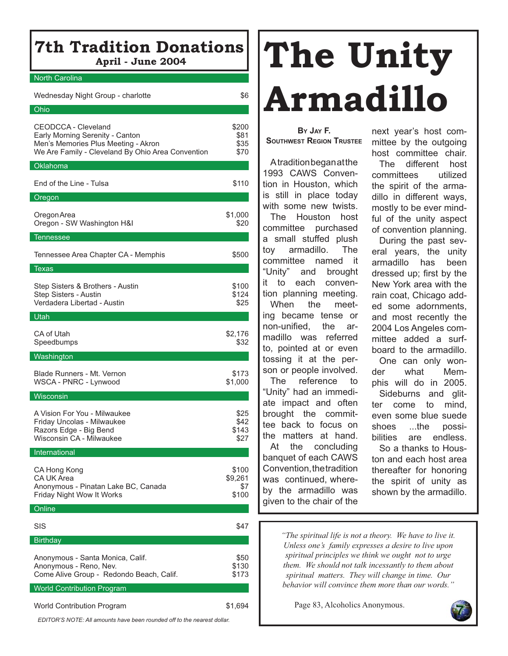# **7th Tradition Donations April - June 2004**

#### North Carolina

| Wednesday Night Group - charlotte                                                                                                                  | \$6                              |
|----------------------------------------------------------------------------------------------------------------------------------------------------|----------------------------------|
| Ohio                                                                                                                                               |                                  |
| CEODCCA - Cleveland<br>Early Morning Serenity - Canton<br>Men's Memories Plus Meeting - Akron<br>We Are Family - Cleveland By Ohio Area Convention | \$200<br>\$81<br>\$35<br>\$70    |
| Oklahoma                                                                                                                                           |                                  |
| End of the Line - Tulsa                                                                                                                            | \$110                            |
| Oregon                                                                                                                                             |                                  |
| Oregon Area<br>Oregon - SW Washington H&I                                                                                                          | \$1,000<br>\$20                  |
| <b>Tennessee</b>                                                                                                                                   |                                  |
| Tennessee Area Chapter CA - Memphis                                                                                                                | \$500                            |
| <b>Texas</b>                                                                                                                                       |                                  |
| Step Sisters & Brothers - Austin<br>Step Sisters - Austin<br>Verdadera Libertad - Austin                                                           | \$100<br>\$124<br>\$25           |
| Utah                                                                                                                                               |                                  |
| CA of Utah<br>Speedbumps                                                                                                                           | \$2,176<br>\$32                  |
| Washington                                                                                                                                         |                                  |
| Blade Runners - Mt. Vernon<br>WSCA - PNRC - Lynwood                                                                                                | \$173<br>\$1,000                 |
| Wisconsin                                                                                                                                          |                                  |
| A Vision For You - Milwaukee<br>Friday Uncolas - Milwaukee<br>Razors Edge - Big Bend<br>Wisconsin CA - Milwaukee                                   | \$25<br>\$42<br>\$143<br>\$27    |
| International                                                                                                                                      |                                  |
| CA Hong Kong<br><b>CA UK Area</b><br>Anonymous - Pinatan Lake BC, Canada<br>Friday Night Wow It Works                                              | \$100<br>\$9,261<br>\$7<br>\$100 |
| Online                                                                                                                                             |                                  |
| SIS                                                                                                                                                | \$47                             |
| <b>Birthday</b>                                                                                                                                    |                                  |
| Anonymous - Santa Monica, Calif.<br>Anonymous - Reno, Nev.<br>Come Alive Group - Redondo Beach, Calif.                                             | \$50<br>\$130<br>\$173           |
| <b>World Contribution Program</b>                                                                                                                  |                                  |
| <b>World Contribution Program</b>                                                                                                                  | \$1,694                          |

*EDITOR'S NOTE: All amounts have been rounded off to the nearest dollar.*

# **The Unity Armadillo**

#### **BY JAY F. SOUTHWEST REGION TRUSTEE**

A tradition began at the 1993 CAWS Convention in Houston, which is still in place today with some new twists. The Houston host committee purchased a small stuffed plush toy armadillo. The committee named it "Unity" and brought it to each convention planning meeting.

When the meeting became tense or non-unified, the armadillo was referred to, pointed at or even tossing it at the person or people involved.

The reference to "Unity" had an immediate impact and often brought the committee back to focus on the matters at hand. At the concluding banquet of each CAWS Convention, the tradition was continued, where-

by the armadillo was given to the chair of the

next year's host committee by the outgoing host committee chair.

The different host committees utilized the spirit of the armadillo in different ways, mostly to be ever mindful of the unity aspect of convention planning.

During the past several years, the unity armadillo has been dressed up: first by the New York area with the rain coat, Chicago added some adornments, and most recently the 2004 Los Angeles committee added a surfboard to the armadillo. One can only won-

der what Memphis will do in 2005. Sideburns and glitter come to mind, even some blue suede shoes ...the possibilities are endless. So a thanks to Houston and each host area thereafter for honoring the spirit of unity as shown by the armadillo.

*"The spiritual life is not a theory. We have to live it. Unless one's family expresses a desire to live upon spiritual principles we think we ought not to urge them. We should not talk incessantly to them about spiritual matters. They will change in time. Our behavior will convince them more than our words."* 

Page 83, Alcoholics Anonymous.